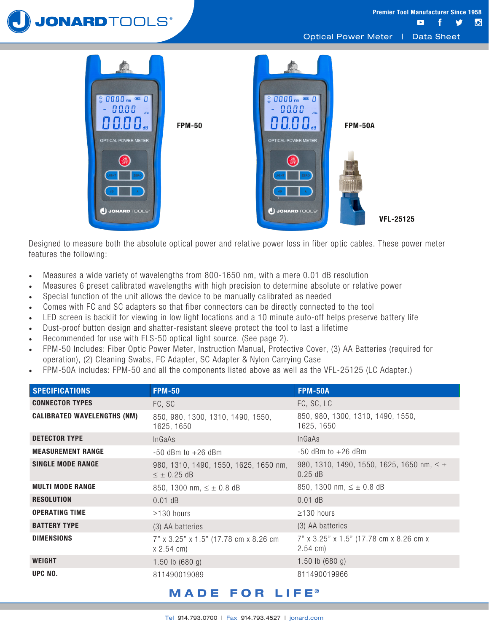



Designed to measure both the absolute optical power and relative power loss in fiber optic cables. These power meter features the following:

- Measures a wide variety of wavelengths from 800-1650 nm, with a mere 0.01 dB resolution
- Measures 6 preset calibrated wavelengths with high precision to determine absolute or relative power
- Special function of the unit allows the device to be manually calibrated as needed
- Comes with FC and SC adapters so that fiber connectors can be directly connected to the tool
- LED screen is backlit for viewing in low light locations and a 10 minute auto-off helps preserve battery life
- Dust-proof button design and shatter-resistant sleeve protect the tool to last a lifetime
- Recommended for use with FLS-50 optical light source. (See page 2).
- FPM-50 Includes: Fiber Optic Power Meter, Instruction Manual, Protective Cover, (3) AA Batteries (required for operation), (2) Cleaning Swabs, FC Adapter, SC Adapter & Nylon Carrying Case
- FPM-50A includes: FPM-50 and all the components listed above as well as the VFL-25125 (LC Adapter.)

| <b>SPECIFICATIONS</b>              | <b>FPM-50</b>                                                 | <b>FPM-50A</b>                                                |
|------------------------------------|---------------------------------------------------------------|---------------------------------------------------------------|
| <b>CONNECTOR TYPES</b>             | FC, SC                                                        | FC, SC, LC                                                    |
| <b>CALIBRATED WAVELENGTHS (NM)</b> | 850, 980, 1300, 1310, 1490, 1550,<br>1625, 1650               | 850, 980, 1300, 1310, 1490, 1550,<br>1625, 1650               |
| <b>DETECTOR TYPE</b>               | <b>InGaAs</b>                                                 | InGaAs                                                        |
| <b>MEASUREMENT RANGE</b>           | $-50$ dBm to $+26$ dBm                                        | $-50$ dBm to $+26$ dBm                                        |
| <b>SINGLE MODE RANGE</b>           | 980, 1310, 1490, 1550, 1625, 1650 nm,<br>$\leq$ $\pm$ 0.25 dB | 980, 1310, 1490, 1550, 1625, 1650 nm, $\leq \pm$<br>$0.25$ dB |
| <b>MULTI MODE RANGE</b>            | 850, 1300 nm, $\leq \pm 0.8$ dB                               | 850, 1300 nm, $\leq \pm 0.8$ dB                               |
| <b>RESOLUTION</b>                  | $0.01$ dB                                                     | $0.01$ dB                                                     |
| <b>OPERATING TIME</b>              | $\geq$ 130 hours                                              | $\geq$ 130 hours                                              |
| <b>BATTERY TYPE</b>                | (3) AA batteries                                              | (3) AA batteries                                              |
| <b>DIMENSIONS</b>                  | 7" x 3.25" x 1.5" (17.78 cm x 8.26 cm<br>$x 2.54$ cm)         | 7" x 3.25" x 1.5" (17.78 cm x 8.26 cm x<br>$2.54$ cm)         |
| <b>WEIGHT</b>                      | 1.50 lb $(680 g)$                                             | 1.50 lb $(680 g)$                                             |
| UPC NO.                            | 811490019089                                                  | 811490019966                                                  |

## **MADE FOR LIFE®**